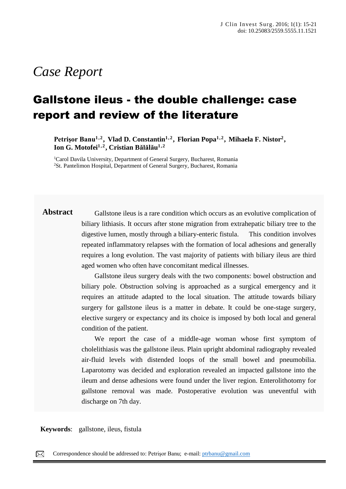# *Case Report*

# Gallstone ileus - the double challenge: case report and review of the literature

Petrişor Banu<sup>1,2</sup>, Vlad D. Constantin<sup>1,2</sup>, Florian Popa<sup>1,2</sup>, Mihaela F. Nistor<sup>2</sup>, **Ion G. Motofei1 ,2 , Cristian Bălălău 1 ,2**

<sup>1</sup>Carol Davila University, Department of General Surgery, Bucharest, Romania <sup>2</sup>St. Pantelimon Hospital, Department of General Surgery, Bucharest, Romania

**Abstract** Gallstone ileus is a rare condition which occurs as an evolutive complication of biliary lithiasis. It occurs after stone migration from extrahepatic biliary tree to the digestive lumen, mostly through a biliary-enteric fistula. This condition involves repeated inflammatory relapses with the formation of local adhesions and generally requires a long evolution. The vast majority of patients with biliary ileus are third aged women who often have concomitant medical illnesses.

> Gallstone ileus surgery deals with the two components: bowel obstruction and biliary pole. Obstruction solving is approached as a surgical emergency and it requires an attitude adapted to the local situation. The attitude towards biliary surgery for gallstone ileus is a matter in debate. It could be one-stage surgery, elective surgery or expectancy and its choice is imposed by both local and general condition of the patient.

> We report the case of a middle-age woman whose first symptom of cholelithiasis was the gallstone ileus. Plain upright abdominal radiography revealed air-fluid levels with distended loops of the small bowel and pneumobilia. Laparotomy was decided and exploration revealed an impacted gallstone into the ileum and dense adhesions were found under the liver region. Enterolithotomy for gallstone removal was made. Postoperative evolution was uneventful with discharge on 7th day.

**Keywords**: gallstone, ileus, fistula

Correspondence should be addressed to: Petrişor Banu; e-mail: [ptrbanu@gmail.com](mailto:ptrbanu@gmail.com)  $\boxtimes$ 

papules, pustules, nodules and sometimes hematic or meliceric crusts, located on the face, trunk, neck, arms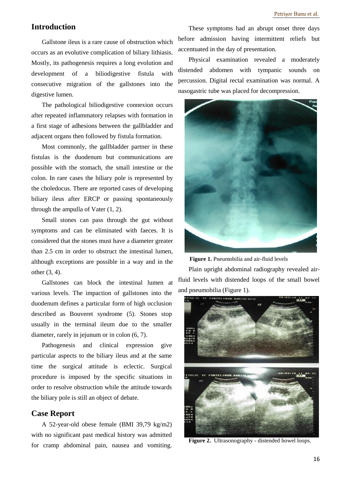# **Introduction**

Gallstone ileus is a rare cause of obstruction which occurs as an evolutive complication of biliary lithiasis. Mostly, its pathogenesis requires a long evolution and development of a biliodigestive fistula with consecutive migration of the gallstones into the digestive lumen.

The pathological biliodigestive connexion occurs after repeated inflammatory relapses with formation in a first stage of adhesions between the gallbladder and adjacent organs then followed by fistula formation.

Most commonly, the gallbladder partner in these fistulas is the duodenum but communications are possible with the stomach, the small intestine or the colon. In rare cases the biliary pole is represented by the choledocus. There are reported cases of developing biliary ileus after ERCP or passing spontaneously through the ampulla of Vater (1, 2).

Small stones can pass through the gut without symptoms and can be eliminated with faeces. It is considered that the stones must have a diameter greater than 2.5 cm in order to obstruct the intestinal lumen, although exceptions are possible in a way and in the other (3, 4).

Gallstones can block the intestinal lumen at various levels. The impaction of gallstones into the duodenum defines a particular form of high occlusion described as Bouveret syndrome (5). Stones stop usually in the terminal ileum due to the smaller diameter, rarely in jejunum or in colon (6, 7).

Pathogenesis and clinical expression give particular aspects to the biliary ileus and at the same time the surgical attitude is eclectic. Surgical procedure is imposed by the specific situations in order to resolve obstruction while the attitude towards the biliary pole is still an object of debate.

# **Case Report**

A 52-year-old obese female (BMI 39,79 kg/m2) with no significant past medical history was admitted for cramp abdominal pain, nausea and vomiting.

These symptoms had an abrupt onset three days before admission having intermittent reliefs but accentuated in the day of presentation.

Physical examination revealed a moderately distended abdomen with tympanic sounds on percussion. Digital rectal examination was normal. A nasogastric tube was placed for decompression.



**Figure 1.** Pneumobilia and air-fluid levels

Plain upright abdominal radiography revealed airfluid levels with distended loops of the small bowel and pneumobilia (Figure 1).



**Figure 2.** Ultrasonography - distended bowel loops.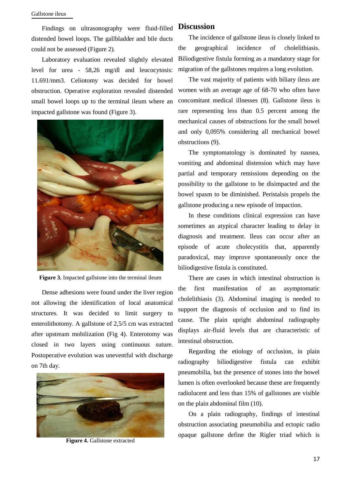Findings on ultrasonography were fluid-filled distended bowel loops. The gallbladder and bile ducts could not be assessed (Figure 2).

Laboratory evaluation revealed slightly elevated level for urea - 58,26 mg/dl and leucocytosis: 11.691/mm3. Celiotomy was decided for bowel obstruction. Operative exploration revealed distended small bowel loops up to the terminal ileum where an impacted gallstone was found (Figure 3).



**Figure 3.** Impacted gallstone into the terminal ileum

Dense adhesions were found under the liver region not allowing the identification of local anatomical structures. It was decided to limit surgery to enterolithotomy. A gallstone of 2,5/5 cm was extracted after upstream mobilization (Fig 4). Enterotomy was closed in two layers using continuous suture. Postoperative evolution was uneventful with discharge on 7th day.



**Figure 4.** Gallstone extracted

### **Discussion**

The incidence of gallstone ileus is closely linked to the geographical incidence of cholelithiasis. Biliodigestive fistula forming as a mandatory stage for migration of the gallstones requires a long evolution.

The vast majority of patients with biliary ileus are women with an average age of 68-70 who often have concomitant medical illnesses (8). Gallstone ileus is rare representing less than 0.5 percent among the mechanical causes of obstructions for the small bowel and only 0,095% considering all mechanical bowel obstructions (9).

The symptomatology is dominated by nausea, vomiting and abdominal distension which may have partial and temporary remissions depending on the possibility to the gallstone to be disimpacted and the bowel spasm to be diminished. Peristalsis propels the gallstone producing a new episode of impaction.

In these conditions clinical expression can have sometimes an atypical character leading to delay in diagnosis and treatment. Ileus can occur after an episode of acute cholecystitis that, apparently paradoxical, may improve spontaneously once the biliodigestive fistula is constituted.

There are cases in which intestinal obstruction is the first manifestation of an asymptomatic cholelithiasis (3). Abdominal imaging is needed to support the diagnosis of occlusion and to find its cause. The plain upright abdominal radiography displays air-fluid levels that are characteristic of intestinal obstruction.

Regarding the etiology of occlusion, in plain radiography biliodigestive fistula can exhibit pneumobilia, but the presence of stones into the bowel lumen is often overlooked because these are frequently radiolucent and less than 15% of gallstones are visible on the plain abdominal film (10).

On a plain radiography, findings of intestinal obstruction associating pneumobilia and ectopic radio opaque gallstone define the Rigler triad which is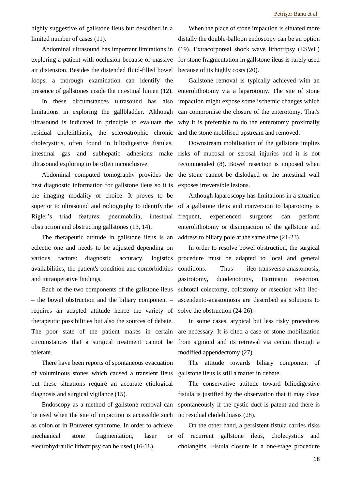highly suggestive of gallstone ileus but described in a limited number of cases (11).

Abdominal ultrasound has important limitations in exploring a patient with occlusion because of massive air distension. Besides the distended fluid-filled bowel loops, a thorough examination can identify the presence of gallstones inside the intestinal lumen (12).

In these circumstances ultrasound has also limitations in exploring the gallbladder. Although ultrasound is indicated in principle to evaluate the residual cholelithiasis, the scleroatrophic chronic cholecystitis, often found in biliodigestive fistulas, intestinal gas and subhepatic adhesions ultrasound exploring to be often inconclusive.

Abdominal computed tomography provides the best diagnostic information for gallstone ileus so it is the imaging modality of choice. It proves to be superior to ultrasound and radiography to identify the Rigler's triad features: pneumobilia, intestinal obstruction and obstructing gallstones (13, 14).

The therapeutic attitude in gallstone ileus is an eclectic one and needs to be adjusted depending on various factors: diagnostic accuracy, logistics availabilities, the patient's condition and comorbidities and intraoperative findings.

Each of the two components of the gallstone ileus – the bowel obstruction and the biliary component – requires an adapted attitude hence the variety of therapeutic possibilities but also the sources of debate. The poor state of the patient makes in certain circumstances that a surgical treatment cannot be tolerate.

There have been reports of spontaneous evacuation of voluminous stones which caused a transient ileus but these situations require an accurate etiological diagnosis and surgical vigilance (15).

Endoscopy as a method of gallstone removal can be used when the site of impaction is accessible such as colon or in Bouveret syndrome. In order to achieve mechanical stone fragmentation, laser electrohydraulic lithotripsy can be used (16-18).

When the place of stone impaction is situated more distally the double-balloon endoscopy can be an option (19). Extracorporeal shock wave lithotripsy (ESWL) for stone fragmentation in gallstone ileus is rarely used because of its highly costs (20).

Gallstone removal is typically achieved with an enterolithotomy via a laparotomy. The site of stone impaction might expose some ischemic changes which can compromise the closure of the enterotomy. That's why it is preferable to do the enterotomy proximally and the stone mobilised upstream and removed.

Downstream mobilisation of the gallstone implies make risks of mucosal or serosal injuries and it is not recommended (8). Bowel resection is imposed when the stone cannot be dislodged or the intestinal wall exposes irreversible lesions.

> Although laparoscopy has limitations in a situation of a gallstone ileus and conversion to laparotomy is frequent, experienced surgeons can perform enterolithotomy or disimpaction of the gallstone and address to biliary pole at the same time (21-23).

> In order to resolve bowel obstruction, the surgical procedure must be adapted to local and general conditions. Thus ileo-transverso-anastomosis, gastrotomy, duodenotomy, Hartmann resection, subtotal colectomy, colostomy or resection with ileoascendento-anastomosis are described as solutions to solve the obstruction (24-26).

> In some cases, atypical but less risky procedures are necessary. It is cited a case of stone mobilization from sigmoid and its retrieval via cecum through a modified appendectomy (27).

> The attitude towards biliary component of gallstone ileus is still a matter in debate.

> The conservative attitude toward biliodigestive fistula is justified by the observation that it may close spontaneously if the cystic duct is patent and there is no residual cholelithiasis (28).

On the other hand, a persistent fistula carries risks of recurrent gallstone ileus, cholecystitis and cholangitis. Fistula closure in a one-stage procedure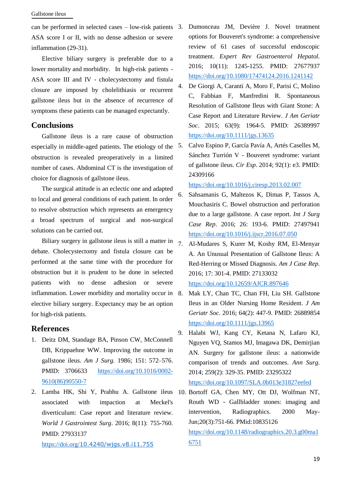#### Gallstone ileus

can be performed in selected cases – low-risk patients ASA score I or II, with no dense adhesion or severe inflammation (29-31).

Elective biliary surgery is preferable due to a lower mortality and morbidity. In high-risk patients - ASA score III and IV - cholecystectomy and fistula closure are imposed by cholelithiasis or recurrent gallstone ileus but in the absence of recurrence of symptoms these patients can be managed expectantly.

# **Conclusions**

Gallstone ileus is a rare cause of obstruction especially in middle-aged patients. The etiology of the obstruction is revealed preoperatively in a limited number of cases. Abdominal CT is the investigation of choice for diagnosis of gallstone ileus.

The surgical attitude is an eclectic one and adapted to local and general conditions of each patient. In order to resolve obstruction which represents an emergency a broad spectrum of surgical and non-surgical solutions can be carried out.

Biliary surgery in gallstone ileus is still a matter in  $\bar{z}$ . debate. Cholecystectomy and fistula closure can be performed at the same time with the procedure for obstruction but it is prudent to be done in selected patients with no dense adhesion or severe inflammation. Lower morbidity and mortality occur in 8. elective biliary surgery. Expectancy may be an option for high-risk patients.

# **References**

- 1. Deitz DM, Standage BA, Pinson CW, McConnell DB, Krippaehne WW. Improving the outcome in gallstone ileus. *Am J Surg.* 1986; 151: 572–576. PMID: 3706633 [https://doi.org/10.1016/0002-](https://doi.org/10.1016/0002-9610(86)90550-7) [9610\(86\)90550-7](https://doi.org/10.1016/0002-9610(86)90550-7)
- associated with impaction at Meckel's diverticulum: Case report and literature review. *World J Gastrointest Surg*. 2016; 8(11): 755-760. PMID: 27933137

https://doi.org/[10.4240/wjgs.v8.i11.755](https://doi.org/10.4240/wjgs.v8.i11.755)

- 3. Dumonceau JM, Devière J. Novel treatment options for Bouveret's syndrome: a comprehensive review of 61 cases of successful endoscopic treatment. *Expert Rev Gastroenterol Hepatol*. 2016; 10(11): 1245-1255. PMID: 27677937 <https://doi.org/10.1080/17474124.2016.1241142>
- 4. De Giorgi A, Caranti A, Moro F, Parisi C, Molino C, Fabbian F, Manfredini R. Spontaneous Resolution of Gallstone Ileus with Giant Stone: A Case Report and Literature Review. *J Am Geriatr Soc*. 2015; 63(9): 1964-5. PMID: 26389997 <https://doi.org/10.1111/jgs.13635>
- 5. Calvo Espino P, García Pavía A, Artés Caselles M, Sánchez Turrión V - Bouveret syndrome: variant of gallstone ileus. *Cir Esp*. 2014; 92(1): e3. PMID: 24309166

<https://doi.org/10.1016/j.ciresp.2013.02.007>

- 6. Sahsamanis G, Maltezos K, Dimas P, Tassos A, Mouchasiris C. Bowel obstruction and perforation due to a large gallstone. A case report. *Int J Surg Case Rep*. 2016; 26: 193-6. PMID: 27497941 <https://doi.org/10.1016/j.ijscr.2016.07.050>
- 7. Al-Mudares S, Kurer M, Koshy RM, El-Menyar A. An Unusual Presentation of Gallstone Ileus: A Red-Herring or Missed Diagnosis. *Am J Case Rep*. 2016; 17: 301-4. PMID: 27133032 <https://doi.org/10.12659/AJCR.897646>
- 8. Mak LY, Chan TC, Chan FH, Liu SH. Gallstone Ileus in an Older Nursing Home Resident. *J Am Geriatr Soc*. 2016; 64(2): 447-9. PMID: 26889854 <https://doi.org/10.1111/jgs.13965>
- 9. Halabi WJ, Kang CY, Ketana N, Lafaro KJ, Nguyen VQ, Stamos MJ, Imagawa DK, Demirjian AN. Surgery for gallstone ileus: a nationwide comparison of trends and outcomes. *Ann Surg*. 2014; 259(2): 329-35. PMID: 23295322 <https://doi.org/10.1097/SLA.0b013e31827eefed>

2. Lamba HK, Shi Y, Prabhu A. Gallstone ileus 10. Bortoff GA, Chen MY, Ott DJ, Wolfman NT, Routh WD - Gallbladder stones: imaging and intervention, Radiographics. 2000 May-Jun;20(3):751-66. PMid:10835126 [https://doi.org/10.1148/radiographics.20.3.g00ma1](https://doi.org/10.1148/radiographics.20.3.g00ma16751) [6751](https://doi.org/10.1148/radiographics.20.3.g00ma16751)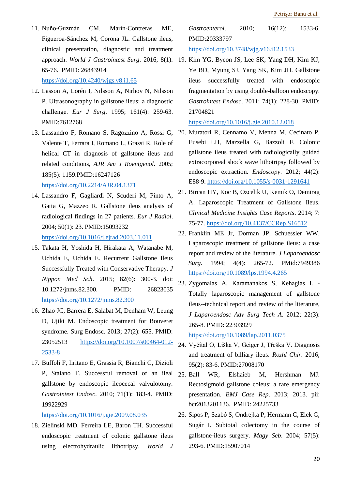11. Nuño-Guzmán CM, Marín-Contreras ME, Figueroa-Sánchez M, Corona JL. Gallstone ileus, clinical presentation, diagnostic and treatment 65-76. PMID: 26843914

<https://doi.org/10.4240/wjgs.v8.i1.65>

- 12. Lasson A, Lorén I, Nilsson A, Nirhov N, Nilsson P. Ultrasonography in gallstone ileus: a diagnostic challenge. *Eur J Surg*. 1995; 161(4): 259-63. PMID:7612768
- 13. Lassandro F, Romano S, Ragozzino A, Rossi G, Valente T, Ferrara I, Romano L, Grassi R. Role of helical CT in diagnosis of gallstone ileus and related conditions, *AJR Am J Roentgenol*. 2005; 185(5): 1159.PMID:16247126 <https://doi.org/10.2214/AJR.04.1371>
- 14. Lassandro F, Gagliardi N, Scuderi M, Pinto A, Gatta G, Mazzeo R. Gallstone ileus analysis of radiological findings in 27 patients. *Eur J Radiol*. 2004; 50(1): 23. PMID:15093232 <https://doi.org/10.1016/j.ejrad.2003.11.011>
- 15. Takata H, Yoshida H, Hirakata A, Watanabe M, Uchida E, Uchida E. Recurrent Gallstone Ileus Successfully Treated with Conservative Therapy. *J Nippon Med Sch*. 2015; 82(6): 300-3. doi: 10.1272/jnms.82.300. PMID: 26823035 <https://doi.org/10.1272/jnms.82.300>
- 16. Zhao JC, Barrera E, Salabat M, Denham W, Leung D, Ujiki M. Endoscopic treatment for Bouveret syndrome. Surg Endosc. 2013; 27(2): 655. PMID: 23052513 [https://doi.org/10.1007/s00464-012-](https://doi.org/10.1007/s00464-012-2533-8) [2533-8](https://doi.org/10.1007/s00464-012-2533-8)
- 17. Buffoli F, Iiritano E, Grassia R, Bianchi G, Dizioli P, Staiano T. Successful removal of an ileal 25 Ball gallstone by endoscopic ileocecal valvulotomy. *Gastrointest Endosc*. 2010; 71(1): 183-4. PMID: 19922929

#### <https://doi.org/10.1016/j.gie.2009.08.035>

18. Zielinski MD, Ferreira LE, Baron TH. Successful endoscopic treatment of colonic gallstone ileus using electrohydraulic lithotripsy. *World J* 

*Gastroenterol*. 2010; 16(12): 1533-6. PMID:20333797 <https://doi.org/10.3748/wjg.v16.i12.1533>

approach. *World J Gastrointest Surg*. 2016; 8(1): 19. Kim YG, Byeon JS, Lee SK, Yang DH, Kim KJ, Ye BD, Myung SJ, Yang SK, Kim JH. Gallstone ileus successfully treated with endoscopic fragmentation by using double-balloon endoscopy. *Gastrointest Endosc*. 2011; 74(1): 228-30. PMID: 21704821

### <https://doi.org/10.1016/j.gie.2010.12.018>

- 20. Muratori R, Cennamo V, Menna M, Cecinato P, Eusebi LH, Mazzella G, Bazzoli F. Colonic gallstone ileus treated with radiologically guided extracorporeal shock wave lithotripsy followed by endoscopic extraction. *Endoscopy*. 2012; 44(2): E88-9.<https://doi.org/10.1055/s-0031-1291641>
- 21. Bircan HY, Koc B, Ozcelik U, Kemik O, Demirag A. Laparoscopic Treatment of Gallstone Ileus. *Clinical Medicine Insights Case Reports*. 2014; 7: 75-77.<https://doi.org/10.4137/CCRep.S16512>
- 22. Franklin ME Jr, Dorman JP, Schuessler WW. Laparoscopic treatment of gallstone ileus: a case report and review of the literature. *J Laparoendosc Surg*. 1994; 4(4): 265-72. PMid:7949386 <https://doi.org/10.1089/lps.1994.4.265>
- 23. Zygomalas A, Karamanakos S, Kehagias I. Totally laparoscopic management of gallstone ileus--technical report and review of the literature, *J Laparoendosc Adv Surg Tech A*. 2012; 22(3): 265-8. PMID: 22303929

<https://doi.org/10.1089/lap.2011.0375>

- 24. Vyčítal O, Liška V, Geiger J, Třeška V. Diagnosis and treatment of billiary ileus. *Rozhl Chir*. 2016; 95(2): 83-6. PMID:27008170
- WR, Elshaieb M, Hershman MJ. Rectosigmoid gallstone coleus: a rare emergency presentation. *BMJ Case Rep*. 2013; 2013. pii: bcr2013201136. PMID: 24225733
- 26. Sipos P, Szabó S, Ondrejka P, Hermann C, Elek G, Sugár I. Subtotal colectomy in the course of gallstone-ileus surgery. *Magy Seb*. 2004; 57(5): 293-6. PMID:15907014